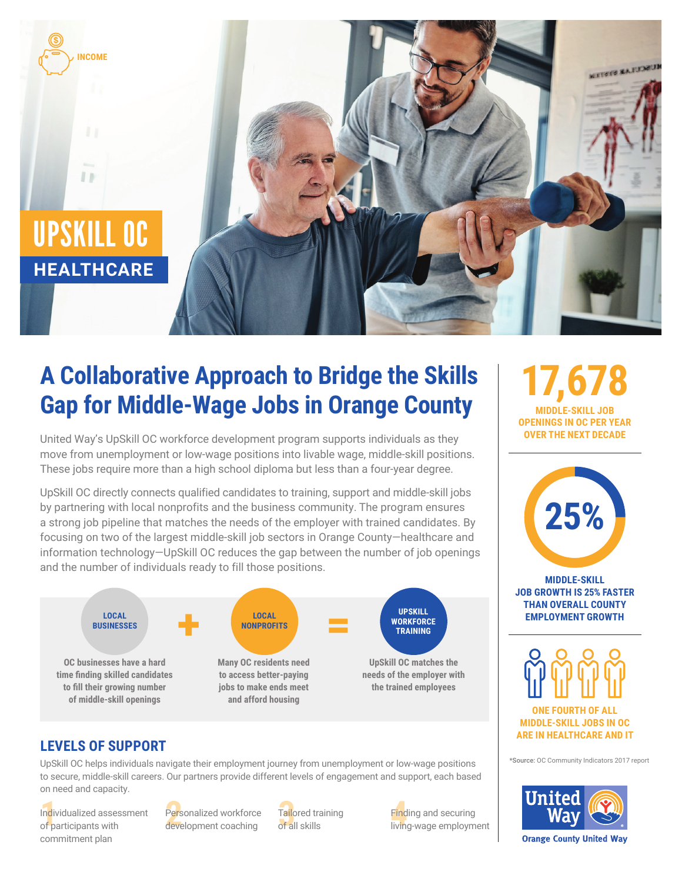

# **A Collaborative Approach to Bridge the Skills Gap for Middle-Wage Jobs in Orange County**

United Way's UpSkill OC workforce development program supports individuals as they move from unemployment or low-wage positions into livable wage, middle-skill positions. These jobs require more than a high school diploma but less than a four-year degree.

UpSkill OC directly connects qualified candidates to training, support and middle-skill jobs by partnering with local nonprofits and the business community. The program ensures a strong job pipeline that matches the needs of the employer with trained candidates. By focusing on two of the largest middle-skill job sectors in Orange County—healthcare and information technology—UpSkill OC reduces the gap between the number of job openings and the number of individuals ready to fill those positions.



## **LEVELS OF SUPPORT**

UpSkill OC helps individuals navigate their employment journey from unemployment or low-wage positions to secure, middle-skill careers. Our partners provide different levels of engagement and support, each based on need and capacity.

Individualized assessment Personalized workforce Tailored training Pind<br>of participants with development coaching of all skills and living Individualized assessment of participants with commitment plan

Personalized workforce development coaching

Tailored training of all skills

Finding and securing living-wage employment

**17,678 MIDDLE-SKILL JOB OPENINGS IN OC PER YEAR OVER THE NEXT DECADE**



**MIDDLE-SKILL JOB GROWTH IS 25% FASTER THAN OVERALL COUNTY EMPLOYMENT GROWTH**



**MIDDLE-SKILL JOBS IN OC ARE IN HEALTHCARE AND IT** 

\*Source: OC Community Indicators 2017 report